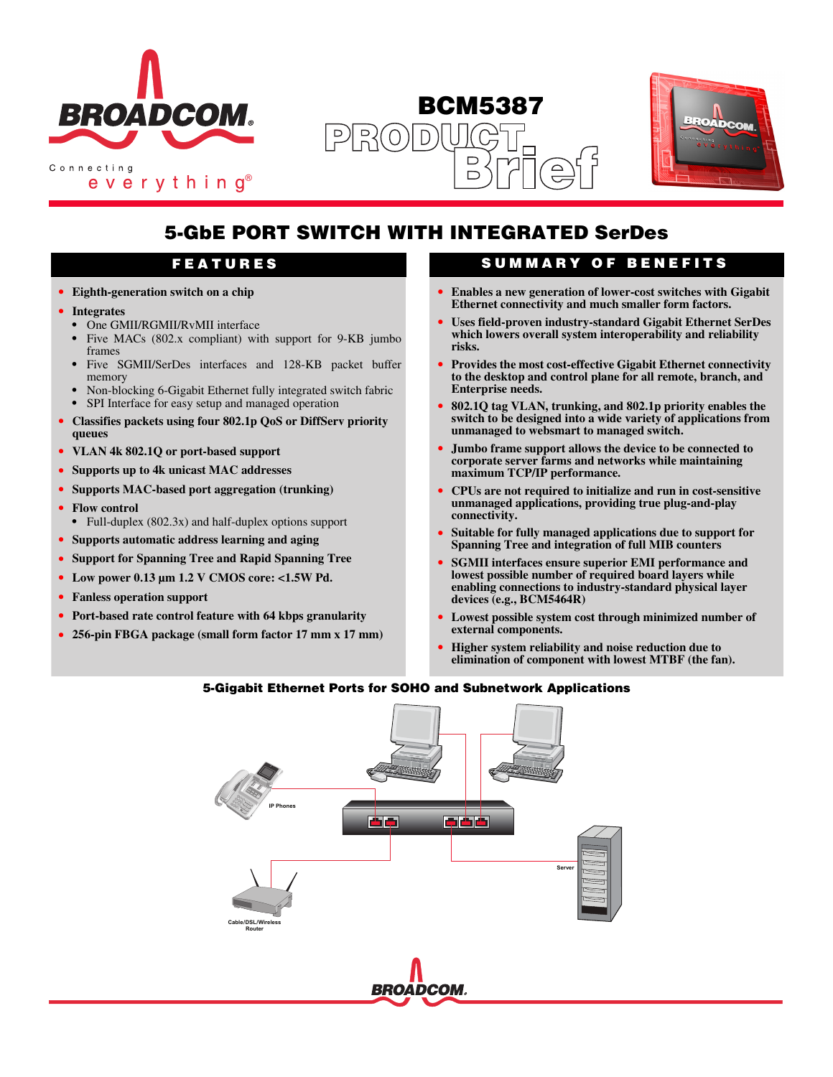

everything<sup>®</sup>

**BCM5387**  $R^2$  $\Box$  $\Box$ 



# **5-GbE PORT SWITCH WITH INTEGRATED SerDes**

- **• Eighth-generation switch on a chip**
- **• Integrates**
	- **•** One GMII/RGMII/RvMII interface
	- **•** Five MACs (802.x compliant) with support for 9-KB jumbo frames
	- **•** Five SGMII/SerDes interfaces and 128-KB packet buffer memory
	- **•** Non-blocking 6-Gigabit Ethernet fully integrated switch fabric **•** SPI Interface for easy setup and managed operation
- **• Classifies packets using four 802.1p QoS or DiffServ priority queues**
- **• VLAN 4k 802.1Q or port-based support**
- **• Supports up to 4k unicast MAC addresses**
- **• Supports MAC-based port aggregation (trunking)**
- **• Flow control**
- **•** Full-duplex (802.3x) and half-duplex options support
- **• Supports automatic address learning and aging**
- **• Support for Spanning Tree and Rapid Spanning Tree**
- **• Low power 0.13 µm 1.2 V CMOS core: <1.5W Pd.**
- **• Fanless operation support**
- **• Port-based rate control feature with 64 kbps granularity**
- **• 256-pin FBGA package (small form factor 17 mm x 17 mm)**

### **FEATURES SUMMARY OF BENEFITS**

- **• Enables a new generation of lower-cost switches with Gigabit Ethernet connectivity and much smaller form factors.**
- **• Uses field-proven industry-standard Gigabit Ethernet SerDes which lowers overall system interoperability and reliability risks.**
- **• Provides the most cost-effective Gigabit Ethernet connectivity to the desktop and control plane for all remote, branch, and Enterprise needs.**
- **• 802.1Q tag VLAN, trunking, and 802.1p priority enables the switch to be designed into a wide variety of applications from unmanaged to websmart to managed switch.**
- **• Jumbo frame support allows the device to be connected to corporate server farms and networks while maintaining maximum TCP/IP performance.**
- **• CPUs are not required to initialize and run in cost-sensitive unmanaged applications, providing true plug-and-play connectivity.**
- **• Suitable for fully managed applications due to support for Spanning Tree and integration of full MIB counters**
- **• SGMII interfaces ensure superior EMI performance and lowest possible number of required board layers while enabling connections to industry-standard physical layer devices (e.g., BCM5464R)**
- **• Lowest possible system cost through minimized number of external components.**
- **• Higher system reliability and noise reduction due to elimination of component with lowest MTBF (the fan).**

#### **5-Gigabit Ethernet Ports for SOHO and Subnetwork Applications**